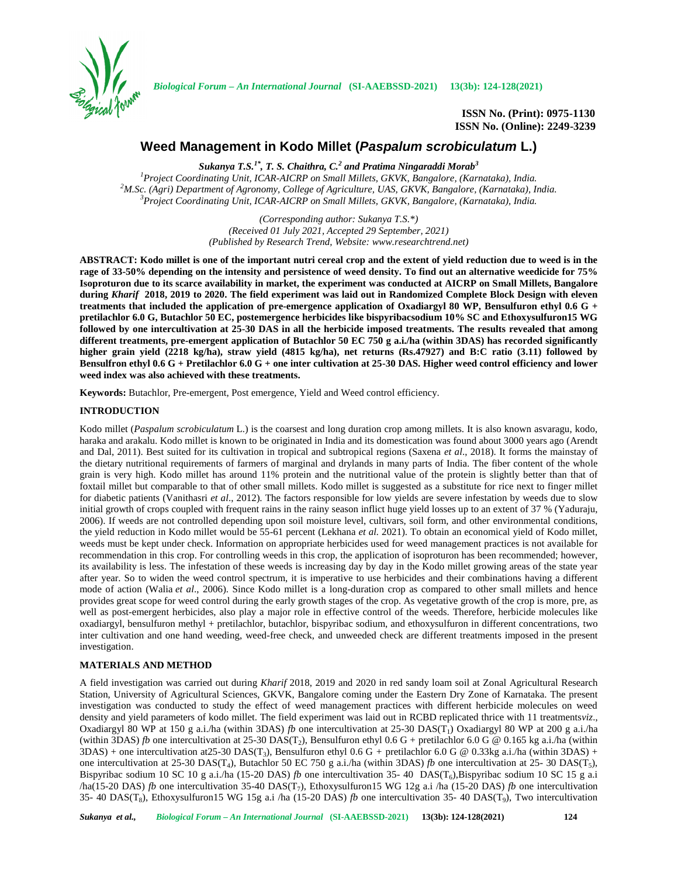

**ISSN No. (Print): 0975-1130 ISSN No. (Online): 2249-3239**

# **Weed Management in Kodo Millet (***Paspalum scrobiculatum* **L.)**

*Sukanya T.S.1\* , T. S. Chaithra, C.<sup>2</sup> and Pratima Ningaraddi Morab<sup>3</sup>*

<sup>1</sup> Project Coordinating Unit, ICAR-AICRP on Small Millets, GKVK, Bangalore, (Karnataka), India.<br><sup>2</sup>M.Sc. (Agri) Department of Agronomy, College of Agriculture, UAS, GKVK, Bangalore, (Karnataka), India.<br><sup>3</sup> Project Coordi

*(Corresponding author: Sukanya T.S.\*) (Received 01 July 2021, Accepted 29 September, 2021) (Published by Research Trend, Website: <www.researchtrend.net>)*

**ABSTRACT: Kodo millet is one of the important nutri cereal crop and the extent of yield reduction due to weed is in the rage of 33-50% depending on the intensity and persistence of weed density. To find out an alternative weedicide for 75% Isoproturon due to its scarce availability in market, the experiment was conducted at AICRP on Small Millets, Bangalore during** *Kharif* **2018, 2019 to 2020. The field experiment was laid out in Randomized Complete Block Design with eleven treatments that included the application of pre-emergence application of Oxadiargyl 80 WP, Bensulfuron ethyl 0.6 G** *+* **pretilachlor 6.0 G, Butachlor 50 EC, postemergence herbicides like bispyribacsodium 10% SC and Ethoxysulfuron15 WG followed by one intercultivation at 25-30 DAS in all the herbicide imposed treatments. The results revealed that among different treatments, pre-emergent application of Butachlor 50 EC 750 g a.i./ha (within 3DAS) has recorded significantly higher grain yield (2218 kg/ha), straw yield (4815 kg/ha), net returns (Rs.47927) and B:C ratio (3.11) followed by Bensulfron ethyl 0.6 G + Pretilachlor 6.0 G + one inter cultivation at 25-30 DAS. Higher weed control efficiency and lower weed index was also achieved with these treatments.**

**Keywords:** Butachlor, Pre-emergent, Post emergence, Yield and Weed control efficiency.

# **INTRODUCTION**

Kodo millet (*Paspalum scrobiculatum* L.) is the coarsest and long duration crop among millets. It is also known asvaragu, kodo, haraka and arakalu. Kodo millet is known to be originated in India and its domestication was found about 3000 years ago (Arendt and Dal, 2011). Best suited for its cultivation in tropical and subtropical regions (Saxena *et al*., 2018). It forms the mainstay of the dietary nutritional requirements of farmers of marginal and drylands in many parts of India. The fiber content of the whole grain is very high. Kodo millet has around 11% protein and the nutritional value of the protein is slightly better than that of foxtail millet but comparable to that of other small millets. Kodo millet is suggested as a substitute for rice next to finger millet for diabetic patients (Vanithasri *et al*., 2012). The factors responsible for low yields are severe infestation by weeds due to slow initial growth of crops coupled with frequent rains in the rainy season inflict huge yield losses up to an extent of 37 % (Yaduraju, 2006). If weeds are not controlled depending upon soil moisture level, cultivars, soil form, and other environmental conditions, the yield reduction in Kodo millet would be 55-61 percent (Lekhana *et al.* 2021). To obtain an economical yield of Kodo millet, weeds must be kept under check. Information on appropriate herbicides used for weed management practices is not available for recommendation in this crop. For controlling weeds in this crop, the application of isoproturon has been recommended; however, its availability is less. The infestation of these weeds is increasing day by day in the Kodo millet growing areas of the state year after year. So to widen the weed control spectrum, it is imperative to use herbicides and their combinations having a different mode of action (Walia *et al*., 2006). Since Kodo millet is a long-duration crop as compared to other small millets and hence provides great scope for weed control during the early growth stages of the crop. As vegetative growth of the crop is more, pre, as well as post-emergent herbicides, also play a major role in effective control of the weeds. Therefore, herbicide molecules like oxadiargyl, bensulfuron methyl + pretilachlor, butachlor, bispyribac sodium, and ethoxysulfuron in different concentrations, two inter cultivation and one hand weeding, weed-free check, and unweeded check are different treatments imposed in the present investigation.

# **MATERIALS AND METHOD**

A field investigation was carried out during *Kharif* 2018, 2019 and 2020 in red sandy loam soil at Zonal Agricultural Research Station, University of Agricultural Sciences, GKVK, Bangalore coming under the Eastern Dry Zone of Karnataka. The present investigation was conducted to study the effect of weed management practices with different herbicide molecules on weed density and yield parameters of kodo millet. The field experiment was laid out in RCBD replicated thrice with 11 treatments*viz*., Oxadiargyl 80 WP at 150 g a.i./ha (within 3DAS) *fb* one intercultivation at 25-30 DAS(T<sub>1</sub>) Oxadiargyl 80 WP at 200 g a.i./ha (within 3DAS) *fb* one intercultivation at 25-30 DAS(T<sub>2</sub>), Bensulfuron ethyl 0.6 G + pretilachlor 6.0 G @ 0.165 kg a.i./ha (within 3DAS) + one intercultivation at25-30 DAS(T<sup>3</sup> ), Bensulfuron ethyl 0.6 G *+* pretilachlor 6.0 G @ 0.33kg a.i./ha (within 3DAS) + one intercultivation at 25-30 DAS( $T_4$ ), Butachlor 50 EC 750 g a.i./ha (within 3DAS) *fb* one intercultivation at 25-30 DAS( $T_5$ ), Bispyribac sodium 10 SC 10 g a.i./ha (15-20 DAS) *fb* one intercultivation 35-40 DAS(T<sub>6</sub>),Bispyribac sodium 10 SC 15 g a.i  $/$ ha(15-20 DAS) *fb* one intercultivation 35-40 DAS(T<sub>7</sub>), Ethoxysulfuron15 WG 12g a.i  $/$ ha (15-20 DAS) *fb* one intercultivation 35- 40 DAS(T<sub>8</sub>), Ethoxysulfuron15 WG 15g a.i /ha (15-20 DAS) *fb* one intercultivation 35- 40 DAS(T<sub>9</sub>), Two intercultivation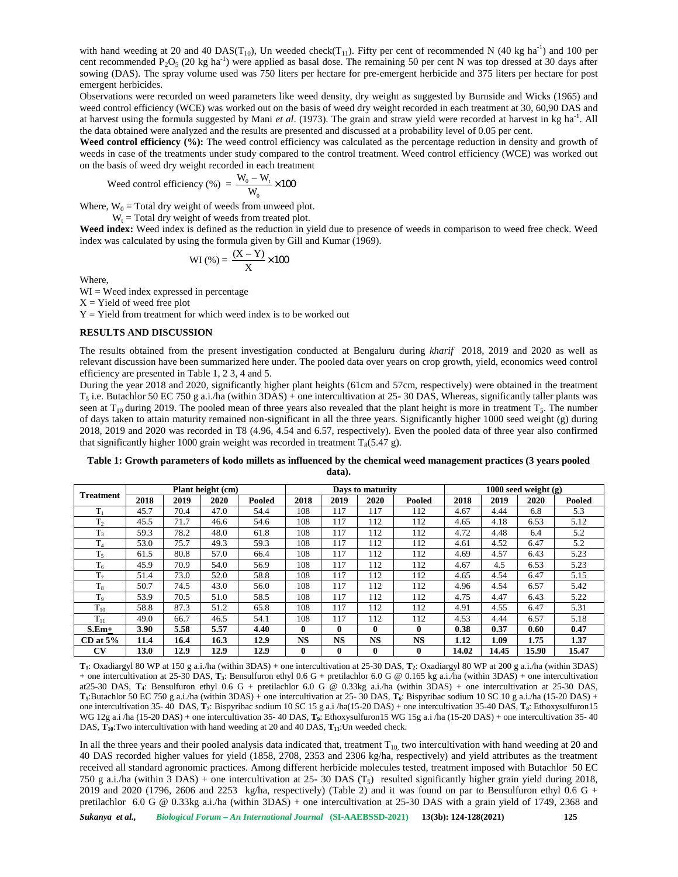with hand weeding at 20 and 40 DAS( $T_{10}$ ), Un weeded check( $T_{11}$ ). Fifty per cent of recommended N (40 kg ha<sup>-1</sup>) and 100 per cent recommended  $P_2O_5$  (20 kg ha<sup>-1</sup>) were applied as basal dose. The remaining 50 per cent N was top dressed at 30 days after sowing (DAS). The spray volume used was 750 liters per hectare for pre-emergent herbicide and 375 liters per hectare for post emergent herbicides. and weeding at 20 and 40 DAS(T<sub>10</sub>). Un weeded check(T<sub>11</sub>). Fifty per cent of recommended N (40 kg ha<sup>1</sup>) an commended P<sub>2</sub>O<sub>5</sub> (20 kg ha<sup>2</sup>) were applied as basal dose. The remaining 50 per cent N was top dressed at 30 nd 40 DAS(T<sub>10</sub>), Un weeded check(T<sub>11</sub>). Fi<br>0 kg ha<sup>-1</sup>) were applied as basal dose. The r<br>70 kg ha<sup>-1</sup>) were applied as basal dose. The r<br>70 kg ha<sup>-1</sup>) were applied as basal dose. The r<br>70 kg hand the results are presen

Observations were recorded on weed parameters like weed density, dry weight as suggested by Burnside and Wicks (1965) and weed control efficiency (WCE) was worked out on the basis of weed dry weight recorded in each treatment at 30, 60,90 DAS and at harvest using the formula suggested by Mani *et al.* (1973). The grain and straw yield were recorded at harvest in kg ha<sup>-1</sup>. All the data obtained were analyzed and the results are presented and discussed at a probability level of 0.05 per cent.

**Weed control efficiency (%):** The weed control efficiency was calculated as the percentage reduction in density and growth of weeds in case of the treatments under study compared to the control treatment. Weed control efficiency (WCE) was worked out on the basis of weed dry weight recorded in each treatment

Weed control efficiency (%) = 
$$
\frac{W_0 - W_t}{W_0} \times 100
$$

Where,  $W_0$  = Total dry weight of weeds from unweed plot.

 $W_t$  = Total dry weight of weeds from treated plot.

**Weed index:** Weed index is defined as the reduction in yield due to presence of weeds in comparison to weed free check. Weed index was calculated by using the formula given by Gill and Kumar (1969).

$$
WI(\%) = \frac{(X - Y)}{X} \times 100
$$

Where,

 $WI = Wed$  index expressed in percentage

 $X =$  Yield of weed free plot

 $Y =$  Yield from treatment for which weed index is to be worked out

## **RESULTS AND DISCUSSION**

The results obtained from the present investigation conducted at Bengaluru during *kharif* 2018, 2019 and 2020 as well as relevant discussion have been summarized here under. The pooled data over years on crop growth, yield, economics weed control efficiency are presented in Table 1, 2 3, 4 and 5.

During the year 2018 and 2020, significantly higher plant heights (61cm and 57cm, respectively) were obtained in the treatment  $T_5$  i.e. Butachlor 50 EC 750 g a.i./ha (within 3DAS) + one intercultivation at 25-30 DAS, Whereas, significantly taller plants was seen at  $T_{10}$  during 2019. The pooled mean of three years also revealed that the plant height is more in treatment  $T_5$ . The number of days taken to attain maturity remained non-significant in all the three years. Significantly higher 1000 seed weight (g) during 2018, 2019 and 2020 was recorded in T8 (4.96, 4.54 and 6.57, respectively). Even the pooled data of three year also confirmed that significantly higher 1000 grain weight was recorded in treatment  $T_8(5.47 \text{ g})$ .

**Table 1: Growth parameters of kodo millets as influenced by the chemical weed management practices (3 years pooled data).**

| <b>Treatment</b> |      |      | Plant height (cm) |        |              |              | Days to maturity |              | 1000 seed weight $(g)$ |       |       |        |  |  |
|------------------|------|------|-------------------|--------|--------------|--------------|------------------|--------------|------------------------|-------|-------|--------|--|--|
|                  | 2018 | 2019 | 2020              | Pooled | 2018         | 2019         | 2020             | Pooled       | 2018                   | 2019  | 2020  | Pooled |  |  |
| $T_{1}$          | 45.7 | 70.4 | 47.0              | 54.4   | 108          | 117          | 117              | 112          | 4.67                   | 4.44  | 6.8   | 5.3    |  |  |
| T <sub>2</sub>   | 45.5 | 71.7 | 46.6              | 54.6   | 108          | 117          | 112              | 112          | 4.65                   | 4.18  | 6.53  | 5.12   |  |  |
| T <sub>3</sub>   | 59.3 | 78.2 | 48.0              | 61.8   | 108          | 117          | 112              | 112          | 4.72                   | 4.48  | 6.4   | 5.2    |  |  |
| T <sub>4</sub>   | 53.0 | 75.7 | 49.3              | 59.3   | 108          | 117          | 112              | 112          | 4.61                   | 4.52  | 6.47  | 5.2    |  |  |
| $T_5$            | 61.5 | 80.8 | 57.0              | 66.4   | 108          | 117          | 112              | 112          | 4.69                   | 4.57  | 6.43  | 5.23   |  |  |
| $T_6$            | 45.9 | 70.9 | 54.0              | 56.9   | 108          | 117          | 112              | 112          | 4.67                   | 4.5   | 6.53  | 5.23   |  |  |
| T <sub>7</sub>   | 51.4 | 73.0 | 52.0              | 58.8   | 108          | 117          | 112              | 112          | 4.65                   | 4.54  | 6.47  | 5.15   |  |  |
| $T_8$            | 50.7 | 74.5 | 43.0              | 56.0   | 108          | 117          | 112              | 112          | 4.96                   | 4.54  | 6.57  | 5.42   |  |  |
| T <sub>o</sub>   | 53.9 | 70.5 | 51.0              | 58.5   | 108          | 117          | 112              | 112          | 4.75                   | 4.47  | 6.43  | 5.22   |  |  |
| $T_{10}$         | 58.8 | 87.3 | 51.2              | 65.8   | 108          | 117          | 112              | 112          | 4.91                   | 4.55  | 6.47  | 5.31   |  |  |
| $T_{11}$         | 49.0 | 66.7 | 46.5              | 54.1   | 108          | 117          | 112              | 112          | 4.53                   | 4.44  | 6.57  | 5.18   |  |  |
| $S.Em+$          | 3.90 | 5.58 | 5.57              | 4.40   | $\mathbf{0}$ | $\mathbf{0}$ | $\mathbf{0}$     | $\mathbf{0}$ | 0.38                   | 0.37  | 0.60  | 0.47   |  |  |
| $CD$ at $5\%$    | 11.4 | 16.4 | 16.3              | 12.9   | <b>NS</b>    | <b>NS</b>    | <b>NS</b>        | <b>NS</b>    | 1.12                   | 1.09  | 1.75  | 1.37   |  |  |
| CV               | 13.0 | 12.9 | 12.9              | 12.9   | $\mathbf{0}$ | $\mathbf 0$  | $\mathbf{0}$     | $\mathbf 0$  | 14.02                  | 14.45 | 15.90 | 15.47  |  |  |

**T1**: Oxadiargyl 80 WP at 150 g a.i./ha (within 3DAS) + one intercultivation at 25-30 DAS, **T2**: Oxadiargyl 80 WP at 200 g a.i./ha (within 3DAS) + one intercultivation at 25-30 DAS, **T3**: Bensulfuron ethyl 0.6 G + pretilachlor 6.0 G @ 0.165 kg a.i./ha (within 3DAS) + one intercultivation at25-30 DAS, **T4**: Bensulfuron ethyl 0.6 G + pretilachlor 6.0 G @ 0.33kg a.i./ha (within 3DAS) + one intercultivation at 25-30 DAS, **T5**:Butachlor 50 EC 750 g a.i./ha (within 3DAS) + one intercultivation at 25- 30 DAS, **T6**: Bispyribac sodium 10 SC 10 g a.i./ha (15-20 DAS) + one intercultivation 35- 40 DAS, **T7**: Bispyribac sodium 10 SC 15 g a.i /ha(15-20 DAS) + one intercultivation 35-40 DAS, **T8**: Ethoxysulfuron15 WG 12g a.i /ha (15-20 DAS) + one intercultivation 35- 40 DAS, **T9**: Ethoxysulfuron15 WG 15g a.i /ha (15-20 DAS) + one intercultivation 35- 40 DAS,  $T_{10}$ :Two intercultivation with hand weeding at 20 and 40 DAS,  $T_{11}$ :Un weeded check.

In all the three years and their pooled analysis data indicated that, treatment  $T_{10}$  two intercultivation with hand weeding at 20 and 40 DAS recorded higher values for yield (1858, 2708, 2353 and 2306 kg/ha, respectively) and yield attributes as the treatment received all standard agronomic practices. Among different herbicide molecules tested, treatment imposed with Butachlor 50 EC 750 g a.i./ha (within 3 DAS) + one intercultivation at 25- 30 DAS  $(T_5)$  resulted significantly higher grain yield during 2018, 2019 and 2020 (1796, 2606 and 2253 kg/ha, respectively) (Table 2) and it was found on par to Bensulfuron ethyl  $0.6$  G + pretilachlor 6.0 G @ 0.33kg a.i./ha (within 3DAS) + one intercultivation at 25-30 DAS with a grain yield of 1749, 2368 and

*Sukanya et al., Biological Forum – An International Journal* **(SI-AAEBSSD-2021) 13(3b): 124-128(2021) 125**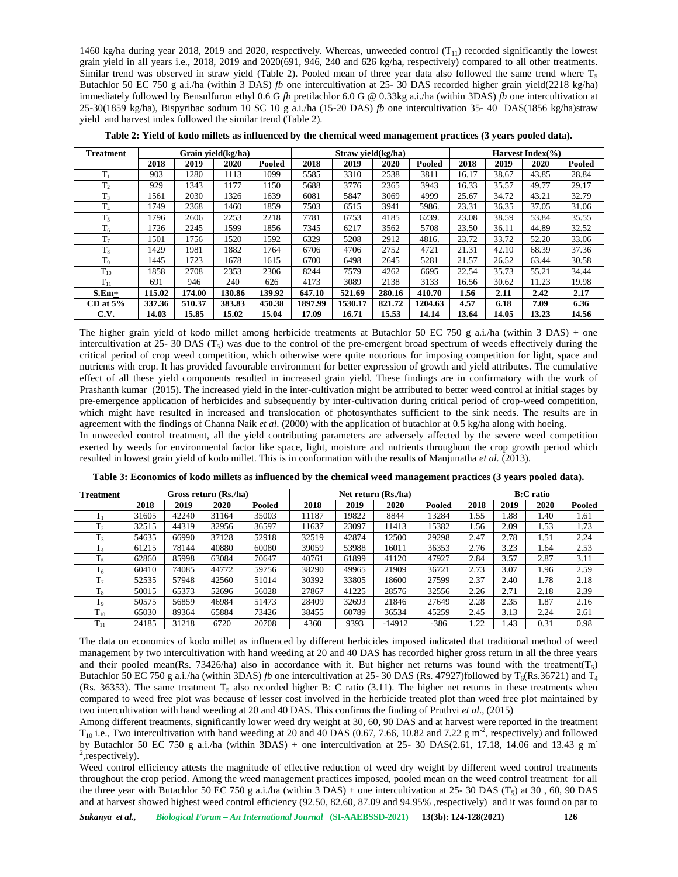1460 kg/ha during year 2018, 2019 and 2020, respectively. Whereas, unweeded control  $(T_{11})$  recorded significantly the lowest grain yield in all years i.e., 2018, 2019 and 2020(691, 946, 240 and 626 kg/ha, respectively) compared to all other treatments. Similar trend was observed in straw yield (Table 2). Pooled mean of three year data also followed the same trend where  $T_5$ Butachlor 50 EC 750 g a.i./ha (within 3 DAS) *fb* one intercultivation at 25- 30 DAS recorded higher grain yield(2218 kg/ha) immediately followed by Bensulfuron ethyl 0.6 G *fb* pretilachlor 6.0 G @ 0.33kg a.i./ha (within 3DAS) *fb* one intercultivation at 25-30(1859 kg/ha), Bispyribac sodium 10 SC 10 g a.i./ha (15-20 DAS)  $fb$  one intercultivation 35-40 DAS(1856 kg/ha)straw yield and harvest index followed the similar trend (Table 2).

| Treatment      |        |        | Grain yield(kg/ha) |        |         | Straw yield(kg/ha) |        |         | Harvest Index $(\% )$ |       |       |        |  |  |
|----------------|--------|--------|--------------------|--------|---------|--------------------|--------|---------|-----------------------|-------|-------|--------|--|--|
|                | 2018   | 2019   | 2020               | Pooled | 2018    | 2019               | 2020   | Pooled  | 2018                  | 2019  | 2020  | Pooled |  |  |
| $T_1$          | 903    | 1280   | 1113               | 1099   | 5585    | 3310               | 2538   | 3811    | 16.17                 | 38.67 | 43.85 | 28.84  |  |  |
| T <sub>2</sub> | 929    | 1343   | 1177               | 1150   | 5688    | 3776               | 2365   | 3943    | 16.33                 | 35.57 | 49.77 | 29.17  |  |  |
| $T_3$          | 1561   | 2030   | 1326               | 1639   | 6081    | 5847               | 3069   | 4999    | 25.67                 | 34.72 | 43.21 | 32.79  |  |  |
| T <sub>4</sub> | 1749   | 2368   | 1460               | 1859   | 7503    | 6515               | 3941   | 5986.   | 23.31                 | 36.35 | 37.05 | 31.06  |  |  |
| $T_5$          | 1796   | 2606   | 2253               | 2218   | 7781    | 6753               | 4185   | 6239.   | 23.08                 | 38.59 | 53.84 | 35.55  |  |  |
| $T_6$          | 1726   | 2245   | 1599               | 1856   | 7345    | 6217               | 3562   | 5708    | 23.50                 | 36.11 | 44.89 | 32.52  |  |  |
| T <sub>7</sub> | 1501   | 1756   | 1520               | 1592   | 6329    | 5208               | 2912   | 4816.   | 23.72                 | 33.72 | 52.20 | 33.06  |  |  |
| $T_8$          | 1429   | 1981   | 1882               | 1764   | 6706    | 4706               | 2752   | 4721    | 21.31                 | 42.10 | 68.39 | 37.36  |  |  |
| T <sub>9</sub> | 1445   | 1723   | 1678               | 1615   | 6700    | 6498               | 2645   | 5281    | 21.57                 | 26.52 | 63.44 | 30.58  |  |  |
| $T_{10}$       | 1858   | 2708   | 2353               | 2306   | 8244    | 7579               | 4262   | 6695    | 22.54                 | 35.73 | 55.21 | 34.44  |  |  |
| $T_{11}$       | 691    | 946    | 240                | 626    | 4173    | 3089               | 2138   | 3133    | 16.56                 | 30.62 | 11.23 | 19.98  |  |  |
| $S.Em+$        | 115.02 | 174.00 | 130.86             | 139.92 | 647.10  | 521.69             | 280.16 | 410.70  | 1.56                  | 2.11  | 2.42  | 2.17   |  |  |
| $CD$ at $5\%$  | 337.36 | 510.37 | 383.83             | 450.38 | 1897.99 | 1530.17            | 821.72 | 1204.63 | 4.57                  | 6.18  | 7.09  | 6.36   |  |  |
| C.V.           | 14.03  | 15.85  | 15.02              | 15.04  | 17.09   | 16.71              | 15.53  | 14.14   | 13.64                 | 14.05 | 13.23 | 14.56  |  |  |

**Table 2: Yield of kodo millets as influenced by the chemical weed management practices (3 years pooled data).**

The higher grain yield of kodo millet among herbicide treatments at Butachlor 50 EC 750 g a.i./ha (within 3 DAS) + one intercultivation at 25- 30 DAS (T<sub>5</sub>) was due to the control of the pre-emergent broad spectrum of weeds effectively during the critical period of crop weed competition, which otherwise were quite notorious for imposing competition for light, space and nutrients with crop. It has provided favourable environment for better expression of growth and yield attributes. The cumulative effect of all these yield components resulted in increased grain yield. These findings are in confirmatory with the work of Prashanth kumar (2015). The increased yield in the inter-cultivation might be attributed to better weed control at initial stages by pre-emergence application of herbicides and subsequently by inter-cultivation during critical period of crop-weed competition, which might have resulted in increased and translocation of photosynthates sufficient to the sink needs. The results are in agreement with the findings of Channa Naik *et al*. (2000) with the application of butachlor at 0.5 kg/ha along with hoeing. In unweeded control treatment, all the yield contributing parameters are adversely affected by the severe weed competition exerted by weeds for environmental factor like space, light, moisture and nutrients throughout the crop growth period which resulted in lowest grain yield of kodo millet. This is in conformation with the results of Manjunatha *et al.* (2013).

| <b>Treatment</b>     |       |       | Gross return (Rs./ha) |        |       |       | Net return (Rs./ha) | <b>B:C</b> ratio |      |      |      |        |  |
|----------------------|-------|-------|-----------------------|--------|-------|-------|---------------------|------------------|------|------|------|--------|--|
|                      | 2018  | 2019  | 2020                  | Pooled | 2018  | 2019  | 2020                | Pooled           | 2018 | 2019 | 2020 | Pooled |  |
| $T_1$                | 31605 | 42240 | 31164                 | 35003  | 11187 | 19822 | 8844                | 13284            | 1.55 | 1.88 | 1.40 | 1.61   |  |
| T <sub>2</sub>       | 32515 | 44319 | 32956                 | 36597  | 11637 | 23097 | 11413               | 15382            | 1.56 | 2.09 | 1.53 | 1.73   |  |
| T <sub>3</sub>       | 54635 | 66990 | 37128                 | 52918  | 32519 | 42874 | 12500               | 29298            | 2.47 | 2.78 | 1.51 | 2.24   |  |
| $T_4$                | 61215 | 78144 | 40880                 | 60080  | 39059 | 53988 | 16011               | 36353            | 2.76 | 3.23 | 1.64 | 2.53   |  |
| T <sub>5</sub>       | 62860 | 85998 | 63084                 | 70647  | 40761 | 61899 | 41120               | 47927            | 2.84 | 3.57 | 2.87 | 3.11   |  |
| $T_6$                | 60410 | 74085 | 44772                 | 59756  | 38290 | 49965 | 21909               | 36721            | 2.73 | 3.07 | 1.96 | 2.59   |  |
| T <sub>7</sub>       | 52535 | 57948 | 42560                 | 51014  | 30392 | 33805 | 18600               | 27599            | 2.37 | 2.40 | 1.78 | 2.18   |  |
| $T_8$                | 50015 | 65373 | 52696                 | 56028  | 27867 | 41225 | 28576               | 32556            | 2.26 | 2.71 | 2.18 | 2.39   |  |
| T <sub>9</sub>       | 50575 | 56859 | 46984                 | 51473  | 28409 | 32693 | 21846               | 27649            | 2.28 | 2.35 | 1.87 | 2.16   |  |
| $T_{10}$             | 65030 | 89364 | 65884                 | 73426  | 38455 | 60789 | 36534               | 45259            | 2.45 | 3.13 | 2.24 | 2.61   |  |
| T<br>1 <sub>11</sub> | 24185 | 31218 | 6720                  | 20708  | 4360  | 9393  | $-14912$            | $-386$           | 1.22 | 1.43 | 0.31 | 0.98   |  |

**Table 3: Economics of kodo millets as influenced by the chemical weed management practices (3 years pooled data).**

The data on economics of kodo millet as influenced by different herbicides imposed indicated that traditional method of weed management by two intercultivation with hand weeding at 20 and 40 DAS has recorded higher gross return in all the three years and their pooled mean(Rs. 73426/ha) also in accordance with it. But higher net returns was found with the treatment( $T_5$ ) Butachlor 50 EC 750 g a.i./ha (within 3DAS) *fb* one intercultivation at 25-30 DAS (Rs. 47927)followed by  $T_6$ (Rs.36721) and  $T_4$ (Rs. 36353). The same treatment  $T_5$  also recorded higher B: C ratio (3.11). The higher net returns in these treatments when compared to weed free plot was because of lesser cost involved in the herbicide treated plot than weed free plot maintained by two intercultivation with hand weeding at 20 and 40 DAS. This confirms the finding of Pruthvi *et al*., (2015)

Among different treatments, significantly lower weed dry weight at 30, 60, 90 DAS and at harvest were reported in the treatment  $T_{10}$  i.e., Two intercultivation with hand weeding at 20 and 40 DAS (0.67, 7.66, 10.82 and 7.22 g m<sup>-2</sup>, respectively) and followed by Butachlor 50 EC 750 g a.i./ha (within 3DAS) + one intercultivation at 25- 30 DAS(2.61, 17.18, 14.06 and 13.43 g m<sup>-</sup>  $2$ , respectively).

Weed control efficiency attests the magnitude of effective reduction of weed dry weight by different weed control treatments throughout the crop period. Among the weed management practices imposed, pooled mean on the weed control treatment for all the three year with Butachlor 50 EC 750 g a.i./ha (within 3 DAS) + one intercultivation at 25- 30 DAS  $(T_5)$  at 30, 60, 90 DAS and at harvest showed highest weed control efficiency (92.50, 82.60, 87.09 and 94.95% ,respectively) and it was found on par to

*Sukanya et al., Biological Forum – An International Journal* **(SI-AAEBSSD-2021) 13(3b): 124-128(2021) 126**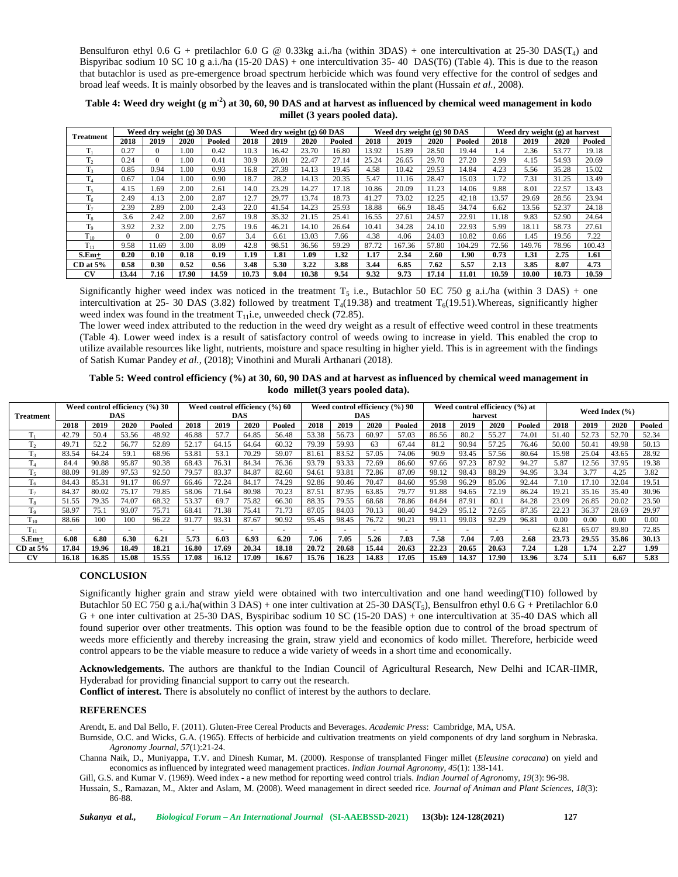Bensulfuron ethyl 0.6 G + pretilachlor 6.0 G  $\omega$  0.33kg a.i./ha (within 3DAS) + one intercultivation at 25-30 DAS(T<sub>4</sub>) and Bispyribac sodium 10 SC 10 g a.i./ha (15-20 DAS) + one intercultivation 35- 40 DAS(T6) (Table 4). This is due to the reason that butachlor is used as pre-emergence broad spectrum herbicide which was found very effective for the control of sedges and broad leaf weeds. It is mainly obsorbed by the leaves and is translocated within the plant (Hussain *et al.,* 2008).

| Table 4: Weed dry weight $(g m-2)$ at 30, 60, 90 DAS and at harvest as influenced by chemical weed management in kodo |  |
|-----------------------------------------------------------------------------------------------------------------------|--|
| millet (3 years pooled data).                                                                                         |  |

|                   |          |          | Weed dry weight (g) 30 DAS |        |       | Weed dry weight (g) 60 DAS |       |        |       | Weed dry weight (g) 90 DAS |       |        | Weed dry weight (g) at harvest |        |       |        |  |
|-------------------|----------|----------|----------------------------|--------|-------|----------------------------|-------|--------|-------|----------------------------|-------|--------|--------------------------------|--------|-------|--------|--|
| <b>Treatment</b>  | 2018     | 2019     | 2020                       | Pooled | 2018  | 2019                       | 2020  | Pooled | 2018  | 2019                       | 2020  | Pooled | 2018                           | 2019   | 2020  | Pooled |  |
| $T_1$             | 0.27     | $\Omega$ | 1.00                       | 0.42   | 10.3  | 16.42                      | 23.70 | 16.80  | 13.92 | 15.89                      | 28.50 | 19.44  | 1.4                            | 2.36   | 53.77 | 19.18  |  |
| m<br>1,           | 0.24     | 0        | 1.00                       | 0.41   | 30.9  | 28.01                      | 22.47 | 27.14  | 25.24 | 26.65                      | 29.70 | 27.20  | 2.99                           | 4.15   | 54.93 | 20.69  |  |
| m<br>$\mathbf{L}$ | 0.85     | 0.94     | 1.00                       | 0.93   | 16.8  | 27.39                      | 14.13 | 19.45  | 4.58  | 10.42                      | 29.53 | 14.84  | 4.23                           | 5.56   | 35.28 | 15.02  |  |
| T <sub>4</sub>    | 0.67     | .04      | 1.00                       | 0.90   | 18.7  | 28.2                       | 14.13 | 20.35  | 5.47  | 11.16                      | 28.47 | 15.03  | 1.72                           | 7.31   | 31.25 | 13.49  |  |
| $T_5$             | 4.15     | .69      | 2.00                       | 2.61   | 14.0  | 23.29                      | 14.27 | 17.18  | 10.86 | 20.09                      | 1.23  | 14.06  | 9.88                           | 8.01   | 22.57 | 13.43  |  |
| T <sub>6</sub>    | 2.49     | 4.13     | 2.00                       | 2.87   | 12.7  | 29.77                      | 13.74 | 18.73  | 41.27 | 73.02                      | 12.25 | 42.18  | 13.57                          | 29.69  | 28.56 | 23.94  |  |
| T <sub>7</sub>    | 2.39     | 2.89     | 2.00                       | 2.43   | 22.0  | 41.54                      | 14.23 | 25.93  | 18.88 | 66.9                       | 18.45 | 34.74  | 6.62                           | 13.56  | 52.37 | 24.18  |  |
| m<br>1 g          | 3.6      | 2.42     | 2.00                       | 2.67   | 19.8  | 35.32                      | 21.15 | 25.41  | 16.55 | 27.61                      | 24.57 | 22.91  | 11.18                          | 9.83   | 52.90 | 24.64  |  |
| m<br>Ιo           | 3.92     | 2.32     | 2.00                       | 2.75   | 19.6  | 46.21                      | 14.10 | 26.64  | 10.41 | 34.28                      | 24.10 | 22.93  | 5.99                           | 18.11  | 58.73 | 27.61  |  |
| $T_{10}$          | $\Omega$ | $\Omega$ | 2.00                       | 0.67   | 3.4   | 6.61                       | 13.03 | 7.66   | 4.38  | 4.06                       | 24.03 | 10.82  | 0.66                           | 1.45   | 19.56 | 7.22   |  |
| 1 <sub>11</sub>   | 9.58     | 11.69    | 3.00                       | 8.09   | 42.8  | 98.51                      | 36.56 | 59.29  | 87.72 | 167.36                     | 57.80 | 104.29 | 72.56                          | 149.76 | 78.96 | 100.43 |  |
| $S.Em+$           | 0.20     | 0.10     | 0.18                       | 0.19   | 1.19  | 1.81                       | 1.09  | 1.32   | 1.17  | 2.34                       | 2.60  | 1.90   | 0.73                           | 1.31   | 2.75  | 1.61   |  |
| $CD$ at $5%$      | 0.58     | 0.30     | 0.52                       | 0.56   | 3.48  | 5.30                       | 3.22  | 3.88   | 3.44  | 6.85                       | 7.62  | 5.57   | 2.13                           | 3.85   | 8.07  | 4.73   |  |
| CV                | 13.44    | 7.16     | 17.90                      | 14.59  | 10.73 | 9.04                       | 10.38 | 9.54   | 9.32  | 9.73                       | 17.14 | 11.01  | 10.59                          | 10.00  | 10.73 | 10.59  |  |

Significantly higher weed index was noticed in the treatment  $T_5$  i.e., Butachlor 50 EC 750 g a.i./ha (within 3 DAS) + one intercultivation at 25- 30 DAS (3.82) followed by treatment  $T_4(19.38)$  and treatment  $T_6(19.51)$ . Whereas, significantly higher weed index was found in the treatment  $T_{11}$ i.e, unweeded check (72.85).

The lower weed index attributed to the reduction in the weed dry weight as a result of effective weed control in these treatments (Table 4). Lower weed index is a result of satisfactory control of weeds owing to increase in yield. This enabled the crop to utilize available resources like light, nutrients, moisture and space resulting in higher yield. This is in agreement with the findings of Satish Kumar Pandey *et al.,* (2018); Vinothini and Murali Arthanari (2018).

**Table 5: Weed control efficiency (%) at 30, 60, 90 DAS and at harvest as influenced by chemical weed management in kodo millet(3 years pooled data).**

| Treatment       |        |                          | Weed control efficiency (%) 30<br>DAS |        | Weed control efficiency (%) 60<br><b>DAS</b> |                          |       |        | Weed control efficiency (%) 90<br>DAS |       |                          |        | Weed control efficiency (%) at<br>harvest |                          |               |        | Weed Index $(% )$ |       |       |        |
|-----------------|--------|--------------------------|---------------------------------------|--------|----------------------------------------------|--------------------------|-------|--------|---------------------------------------|-------|--------------------------|--------|-------------------------------------------|--------------------------|---------------|--------|-------------------|-------|-------|--------|
|                 | 2018   | 2019                     | 2020                                  | Pooled | 2018                                         | 2019                     | 2020  | Pooled | 2018                                  | 2019  | 2020                     | Pooled | 2018                                      | 2019                     | 2020          | Pooled | 2018              | 2019  | 2020  | Pooled |
|                 | 42.79  | 50.4                     | 53.56                                 | 48.92  | 46.88                                        | 57.7                     | 64.85 | 56.48  | 53.38                                 | 56.73 | 60.97                    | 57.03  | 86.56                                     | 80.2                     | 55.27         | 74.01  | 51.40             | 52.73 | 52.70 | 52.34  |
|                 | 49.71  | 52.2                     | 56.77                                 | 52.89  | 52.17                                        | 64.15                    | 64.64 | 60.32  | 79.39                                 | 59.93 | 63                       | 67.44  | 81.2                                      | 90.94                    | 57.25         | 76.46  | 50.00             | 50.41 | 49.98 | 50.13  |
| m               | 83.54  | 64.24                    | 59.                                   | 68.96  | 53.81                                        | 53.                      | 70.29 | 59.07  | 81.61                                 | 83.52 | 57.05                    | 74.06  | 90.9                                      | 93.45                    | 57.56         | 80.64  | 15.98             | 25.04 | 43.65 | 28.92  |
|                 | 84.4   | 90.88                    | 95.87                                 | 90.38  | 68.43                                        | 76.31                    | 84.34 | 76.36  | 93.79                                 | 93.33 | 72.69                    | 86.60  | 97.66                                     | 97.23                    | 87.92         | 94.27  | 5.87              | 12.56 | 37.95 | 19.38  |
| $T_{5}$         | 88.09  | 91.89                    | 97.53                                 | 92.50  | 79.57                                        | 83.37                    | 84.87 | 82.60  | 94.61                                 | 93.81 | 72.86                    | 87.09  | 98.12                                     | 98.43                    | 88.29         | 94.95  | 3.34              | 3.77  | 4.25  | 3.82   |
| m               | 84.43  | 85.31                    | 91.17                                 | 86.97  | 66.46                                        | 72.24                    | 84.17 | 74.29  | 92.86                                 | 90.46 | 70.47                    | 84.60  | 95.98                                     | 96.29                    | 85.06         | 92.44  | 7.10              | 17.10 | 32.04 | 19.51  |
| m               | 84.37  | 80.02                    | 75.17                                 | 79.85  | 58.06                                        | 71.64                    | 80.98 | 70.23  | 87.51                                 | 87.95 | 63.85                    | 79.77  | 91.88                                     | 94.65                    | 72.19         | 86.24  | 19.21             | 35.16 | 35.40 | 30.96  |
| 1 g             | 51.55  | 79.35                    | 74.07                                 | 68.32  | 53.37                                        | 69.7                     | 75.82 | 66.30  | 88.35                                 | 79.55 | 68.68                    | 78.86  | 84.84                                     | 87.91                    | 80.1          | 84.28  | 23.09             | 26.85 | 20.02 | 23.50  |
| T <sub>o</sub>  | 58.97  | 75.                      | 93.07                                 | 75.71  | 68.41                                        | 71.38                    | 75.41 | 71.73  | 87.05                                 | 84.03 | 70.13                    | 80.40  | 94.29                                     | 95.12                    | 72.65         | 87.35  | 22.23             | 36.37 | 28.69 | 29.97  |
| $T_{10}$        | 88.66  | 100                      | 100                                   | 96.22  | 91.77                                        | 93.31                    | 87.67 | 90.92  | 95.45                                 | 98.45 | 76.72                    | 90.21  | 99.11                                     | 99.03                    | 92.29         | 96.81  | 0.00              | 0.00  | 0.00  | 0.00   |
| 1 <sub>11</sub> | $\sim$ | $\overline{\phantom{a}}$ | . —                                   | -      | ÷.                                           | $\overline{\phantom{a}}$ |       | $\sim$ | $\overline{\phantom{a}}$              |       | $\overline{\phantom{a}}$ | -      |                                           | $\overline{\phantom{a}}$ | <u>. на п</u> | $\sim$ | 62.81             | 65.07 | 89.80 | 72.85  |
| $S.Em+$         | 6.08   | 6.80                     | 6.30                                  | 6.21   | 5.73                                         | 6.03                     | 6.93  | 6.20   | 7.06                                  | 7.05  | 5.26                     | 7.03   | 7.58                                      | 7.04                     | 7.03          | 2.68   | 23.73             | 29.55 | 35.86 | 30.13  |
| $CD$ at $5\%$   | 17.84  | 19.96                    | 18.49                                 | 18.21  | 16.80                                        | 17.69                    | 20.34 | 18.18  | 20.72                                 | 20.68 | 15.44                    | 20.63  | 22.23                                     | 20.65                    | 20.63         | 7.24   | 1.28              | 1.74  | 2.27  | 1.99   |
| <b>CV</b>       | 16.18  | 16.85                    | 15.08                                 | 15.55  | 17.08                                        | 16.12                    | 17.09 | 16.67  | 15.76                                 | 16.23 | 14.83                    | 17.05  | 15.69                                     | 14.37                    | 17.90         | 13.96  | 3.74              | 5.11  | 6.67  | 5.83   |

#### **CONCLUSION**

Significantly higher grain and straw yield were obtained with two intercultivation and one hand weeding(T10) followed by Butachlor 50 EC 750 g a.i./ha(within 3 DAS) + one inter cultivation at 25-30  $\text{DAS}(T_5)$ , Bensulfron ethyl 0.6 G + Pretilachlor 6.0 G + one inter cultivation at 25-30 DAS, Byspiribac sodium 10 SC (15-20 DAS) + one intercultivation at 35-40 DAS which all found superior over other treatments. This option was found to be the feasible option due to control of the broad spectrum of weeds more efficiently and thereby increasing the grain, straw yield and economics of kodo millet. Therefore, herbicide weed control appears to be the viable measure to reduce a wide variety of weeds in a short time and economically.

**Acknowledgements.** The authors are thankful to the Indian Council of Agricultural Research, New Delhi and ICAR-IIMR, Hyderabad for providing financial support to carry out the research.

**Conflict of interest.** There is absolutely no conflict of interest by the authors to declare.

### **REFERENCES**

Arendt, E. and Dal Bello, F. (2011). Gluten-Free Cereal Products and Beverages. *Academic Press*: Cambridge, MA, USA.

Burnside, O.C. and Wicks, G.A. (1965). Effects of herbicide and cultivation treatments on yield components of dry land sorghum in Nebraska. *Agronomy Journal*, *57*(1):21-24.

Channa Naik, D., Muniyappa, T.V. and Dinesh Kumar, M. (2000). Response of transplanted Finger millet (*Eleusine coracana*) on yield and economics as influenced by integrated weed management practices. *Indian Journal Agronomy*, *45*(1): 138-141.

Gill, G.S. and Kumar V. (1969). Weed index - a new method for reporting weed control trials. *Indian Journal of Agron*omy, *19*(3): 96-98.

Hussain, S., Ramazan, M., Akter and Aslam, M. (2008). Weed management in direct seeded rice. *Journal of Animan and Plant Sciences, 18*(3): 86-88.